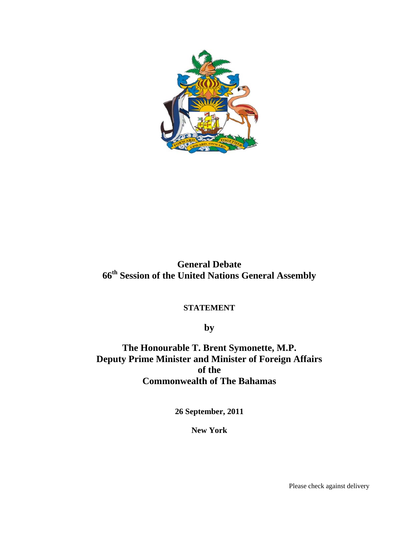

# **General Debate 66th Session of the United Nations General Assembly**

# **STATEMENT**

**by** 

**The Honourable T. Brent Symonette, M.P. Deputy Prime Minister and Minister of Foreign Affairs of the Commonwealth of The Bahamas** 

**26 September, 2011** 

**New York** 

Please check against delivery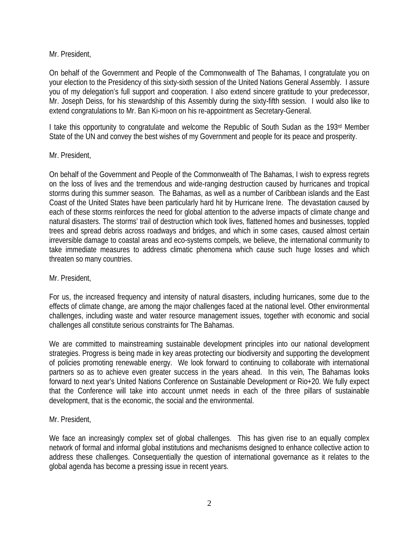#### Mr. President,

On behalf of the Government and People of the Commonwealth of The Bahamas, I congratulate you on your election to the Presidency of this sixty-sixth session of the United Nations General Assembly. I assure you of my delegation's full support and cooperation. I also extend sincere gratitude to your predecessor, Mr. Joseph Deiss, for his stewardship of this Assembly during the sixty-fifth session. I would also like to extend congratulations to Mr. Ban Ki-moon on his re-appointment as Secretary-General.

I take this opportunity to congratulate and welcome the Republic of South Sudan as the 193rd Member State of the UN and convey the best wishes of my Government and people for its peace and prosperity.

## Mr. President,

On behalf of the Government and People of the Commonwealth of The Bahamas, I wish to express regrets on the loss of lives and the tremendous and wide-ranging destruction caused by hurricanes and tropical storms during this summer season. The Bahamas, as well as a number of Caribbean islands and the East Coast of the United States have been particularly hard hit by Hurricane Irene. The devastation caused by each of these storms reinforces the need for global attention to the adverse impacts of climate change and natural disasters. The storms' trail of destruction which took lives, flattened homes and businesses, toppled trees and spread debris across roadways and bridges, and which in some cases, caused almost certain irreversible damage to coastal areas and eco-systems compels, we believe, the international community to take immediate measures to address climatic phenomena which cause such huge losses and which threaten so many countries.

# Mr. President,

For us, the increased frequency and intensity of natural disasters, including hurricanes, some due to the effects of climate change, are among the major challenges faced at the national level. Other environmental challenges, including waste and water resource management issues, together with economic and social challenges all constitute serious constraints for The Bahamas.

We are committed to mainstreaming sustainable development principles into our national development strategies. Progress is being made in key areas protecting our biodiversity and supporting the development of policies promoting renewable energy. We look forward to continuing to collaborate with international partners so as to achieve even greater success in the years ahead. In this vein, The Bahamas looks forward to next year's United Nations Conference on Sustainable Development or Rio+20. We fully expect that the Conference will take into account unmet needs in each of the three pillars of sustainable development, that is the economic, the social and the environmental.

# Mr. President,

We face an increasingly complex set of global challenges. This has given rise to an equally complex network of formal and informal global institutions and mechanisms designed to enhance collective action to address these challenges. Consequentially the question of international governance as it relates to the global agenda has become a pressing issue in recent years.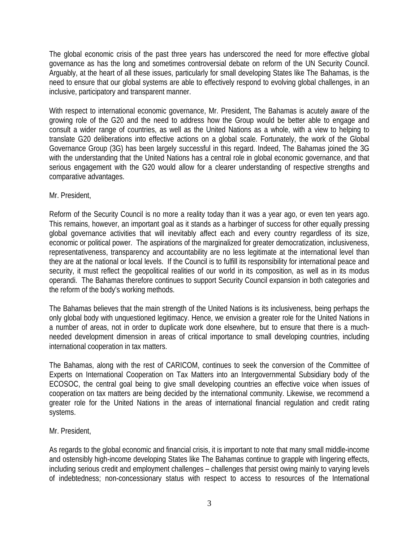The global economic crisis of the past three years has underscored the need for more effective global governance as has the long and sometimes controversial debate on reform of the UN Security Council. Arguably, at the heart of all these issues, particularly for small developing States like The Bahamas, is the need to ensure that our global systems are able to effectively respond to evolving global challenges, in an inclusive, participatory and transparent manner.

With respect to international economic governance, Mr. President, The Bahamas is acutely aware of the growing role of the G20 and the need to address how the Group would be better able to engage and consult a wider range of countries, as well as the United Nations as a whole, with a view to helping to translate G20 deliberations into effective actions on a global scale. Fortunately, the work of the Global Governance Group (3G) has been largely successful in this regard. Indeed, The Bahamas joined the 3G with the understanding that the United Nations has a central role in global economic governance, and that serious engagement with the G20 would allow for a clearer understanding of respective strengths and comparative advantages.

Mr. President,

Reform of the Security Council is no more a reality today than it was a year ago, or even ten years ago. This remains, however, an important goal as it stands as a harbinger of success for other equally pressing global governance activities that will inevitably affect each and every country regardless of its size, economic or political power. The aspirations of the marginalized for greater democratization, inclusiveness, representativeness, transparency and accountability are no less legitimate at the international level than they are at the national or local levels. If the Council is to fulfill its responsibility for international peace and security, it must reflect the geopolitical realities of our world in its composition, as well as in its modus operandi. The Bahamas therefore continues to support Security Council expansion in both categories and the reform of the body's working methods.

The Bahamas believes that the main strength of the United Nations is its inclusiveness, being perhaps the only global body with unquestioned legitimacy. Hence, we envision a greater role for the United Nations in a number of areas, not in order to duplicate work done elsewhere, but to ensure that there is a muchneeded development dimension in areas of critical importance to small developing countries, including international cooperation in tax matters.

The Bahamas, along with the rest of CARICOM, continues to seek the conversion of the Committee of Experts on International Cooperation on Tax Matters into an Intergovernmental Subsidiary body of the ECOSOC, the central goal being to give small developing countries an effective voice when issues of cooperation on tax matters are being decided by the international community. Likewise, we recommend a greater role for the United Nations in the areas of international financial regulation and credit rating systems.

#### Mr. President,

As regards to the global economic and financial crisis, it is important to note that many small middle-income and ostensibly high-income developing States like The Bahamas continue to grapple with lingering effects, including serious credit and employment challenges – challenges that persist owing mainly to varying levels of indebtedness; non-concessionary status with respect to access to resources of the International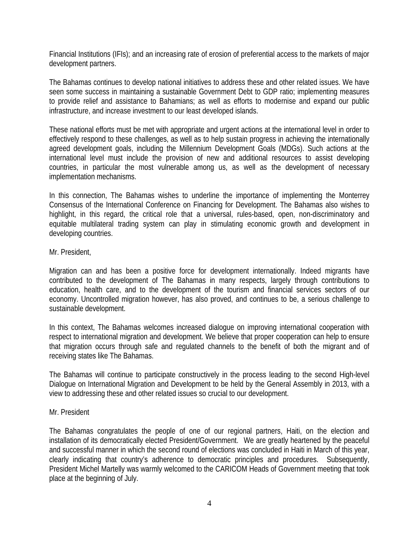Financial Institutions (IFIs); and an increasing rate of erosion of preferential access to the markets of major development partners.

The Bahamas continues to develop national initiatives to address these and other related issues. We have seen some success in maintaining a sustainable Government Debt to GDP ratio; implementing measures to provide relief and assistance to Bahamians; as well as efforts to modernise and expand our public infrastructure, and increase investment to our least developed islands.

These national efforts must be met with appropriate and urgent actions at the international level in order to effectively respond to these challenges, as well as to help sustain progress in achieving the internationally agreed development goals, including the Millennium Development Goals (MDGs). Such actions at the international level must include the provision of new and additional resources to assist developing countries, in particular the most vulnerable among us, as well as the development of necessary implementation mechanisms.

In this connection, The Bahamas wishes to underline the importance of implementing the Monterrey Consensus of the International Conference on Financing for Development. The Bahamas also wishes to highlight, in this regard, the critical role that a universal, rules-based, open, non-discriminatory and equitable multilateral trading system can play in stimulating economic growth and development in developing countries.

Mr. President,

Migration can and has been a positive force for development internationally. Indeed migrants have contributed to the development of The Bahamas in many respects, largely through contributions to education, health care, and to the development of the tourism and financial services sectors of our economy. Uncontrolled migration however, has also proved, and continues to be, a serious challenge to sustainable development.

In this context, The Bahamas welcomes increased dialogue on improving international cooperation with respect to international migration and development. We believe that proper cooperation can help to ensure that migration occurs through safe and regulated channels to the benefit of both the migrant and of receiving states like The Bahamas.

The Bahamas will continue to participate constructively in the process leading to the second High-level Dialogue on International Migration and Development to be held by the General Assembly in 2013, with a view to addressing these and other related issues so crucial to our development.

#### Mr. President

The Bahamas congratulates the people of one of our regional partners, Haiti, on the election and installation of its democratically elected President/Government. We are greatly heartened by the peaceful and successful manner in which the second round of elections was concluded in Haiti in March of this year, clearly indicating that country's adherence to democratic principles and procedures. Subsequently, President Michel Martelly was warmly welcomed to the CARICOM Heads of Government meeting that took place at the beginning of July.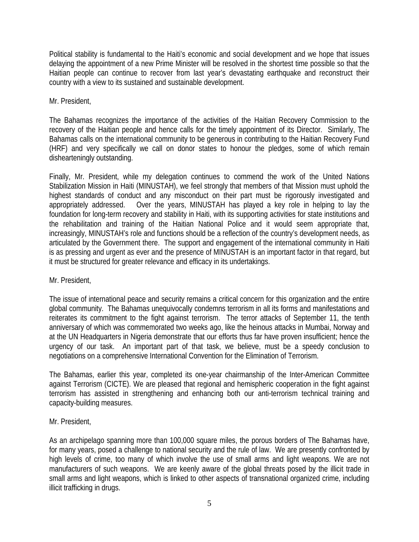Political stability is fundamental to the Haiti's economic and social development and we hope that issues delaying the appointment of a new Prime Minister will be resolved in the shortest time possible so that the Haitian people can continue to recover from last year's devastating earthquake and reconstruct their country with a view to its sustained and sustainable development.

#### Mr. President,

The Bahamas recognizes the importance of the activities of the Haitian Recovery Commission to the recovery of the Haitian people and hence calls for the timely appointment of its Director. Similarly, The Bahamas calls on the international community to be generous in contributing to the Haitian Recovery Fund (HRF) and very specifically we call on donor states to honour the pledges, some of which remain dishearteningly outstanding.

Finally, Mr. President, while my delegation continues to commend the work of the United Nations Stabilization Mission in Haiti (MINUSTAH), we feel strongly that members of that Mission must uphold the highest standards of conduct and any misconduct on their part must be rigorously investigated and appropriately addressed. Over the years, MINUSTAH has played a key role in helping to lay the foundation for long-term recovery and stability in Haiti, with its supporting activities for state institutions and the rehabilitation and training of the Haitian National Police and it would seem appropriate that, increasingly, MINUSTAH's role and functions should be a reflection of the country's development needs, as articulated by the Government there. The support and engagement of the international community in Haiti is as pressing and urgent as ever and the presence of MINUSTAH is an important factor in that regard, but it must be structured for greater relevance and efficacy in its undertakings.

#### Mr. President,

The issue of international peace and security remains a critical concern for this organization and the entire global community. The Bahamas unequivocally condemns terrorism in all its forms and manifestations and reiterates its commitment to the fight against terrorism. The terror attacks of September 11, the tenth anniversary of which was commemorated two weeks ago, like the heinous attacks in Mumbai, Norway and at the UN Headquarters in Nigeria demonstrate that our efforts thus far have proven insufficient; hence the urgency of our task. An important part of that task, we believe, must be a speedy conclusion to negotiations on a comprehensive International Convention for the Elimination of Terrorism.

The Bahamas, earlier this year, completed its one-year chairmanship of the Inter-American Committee against Terrorism (CICTE). We are pleased that regional and hemispheric cooperation in the fight against terrorism has assisted in strengthening and enhancing both our anti-terrorism technical training and capacity-building measures.

# Mr. President,

As an archipelago spanning more than 100,000 square miles, the porous borders of The Bahamas have, for many years, posed a challenge to national security and the rule of law. We are presently confronted by high levels of crime, too many of which involve the use of small arms and light weapons. We are not manufacturers of such weapons. We are keenly aware of the global threats posed by the illicit trade in small arms and light weapons, which is linked to other aspects of transnational organized crime, including illicit trafficking in drugs.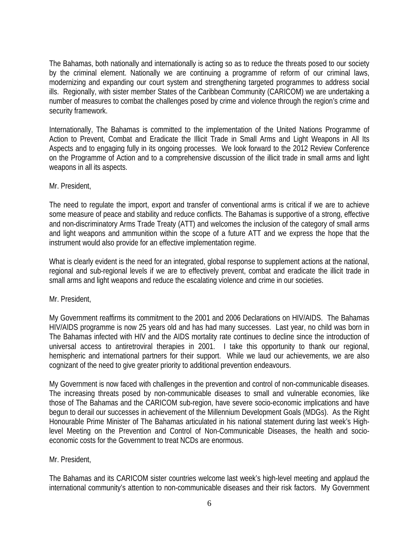The Bahamas, both nationally and internationally is acting so as to reduce the threats posed to our society by the criminal element. Nationally we are continuing a programme of reform of our criminal laws, modernizing and expanding our court system and strengthening targeted programmes to address social ills. Regionally, with sister member States of the Caribbean Community (CARICOM) we are undertaking a number of measures to combat the challenges posed by crime and violence through the region's crime and security framework.

Internationally, The Bahamas is committed to the implementation of the United Nations Programme of Action to Prevent, Combat and Eradicate the Illicit Trade in Small Arms and Light Weapons in All Its Aspects and to engaging fully in its ongoing processes. We look forward to the 2012 Review Conference on the Programme of Action and to a comprehensive discussion of the illicit trade in small arms and light weapons in all its aspects.

Mr. President,

The need to regulate the import, export and transfer of conventional arms is critical if we are to achieve some measure of peace and stability and reduce conflicts. The Bahamas is supportive of a strong, effective and non-discriminatory Arms Trade Treaty (ATT) and welcomes the inclusion of the category of small arms and light weapons and ammunition within the scope of a future ATT and we express the hope that the instrument would also provide for an effective implementation regime.

What is clearly evident is the need for an integrated, global response to supplement actions at the national, regional and sub-regional levels if we are to effectively prevent, combat and eradicate the illicit trade in small arms and light weapons and reduce the escalating violence and crime in our societies.

Mr. President,

My Government reaffirms its commitment to the 2001 and 2006 Declarations on HIV/AIDS. The Bahamas HIV/AIDS programme is now 25 years old and has had many successes. Last year, no child was born in The Bahamas infected with HIV and the AIDS mortality rate continues to decline since the introduction of universal access to antiretroviral therapies in 2001. I take this opportunity to thank our regional, hemispheric and international partners for their support. While we laud our achievements, we are also cognizant of the need to give greater priority to additional prevention endeavours.

My Government is now faced with challenges in the prevention and control of non-communicable diseases. The increasing threats posed by non-communicable diseases to small and vulnerable economies, like those of The Bahamas and the CARICOM sub-region, have severe socio-economic implications and have begun to derail our successes in achievement of the Millennium Development Goals (MDGs). As the Right Honourable Prime Minister of The Bahamas articulated in his national statement during last week's Highlevel Meeting on the Prevention and Control of Non-Communicable Diseases, the health and socioeconomic costs for the Government to treat NCDs are enormous.

Mr. President,

The Bahamas and its CARICOM sister countries welcome last week's high-level meeting and applaud the international community's attention to non-communicable diseases and their risk factors. My Government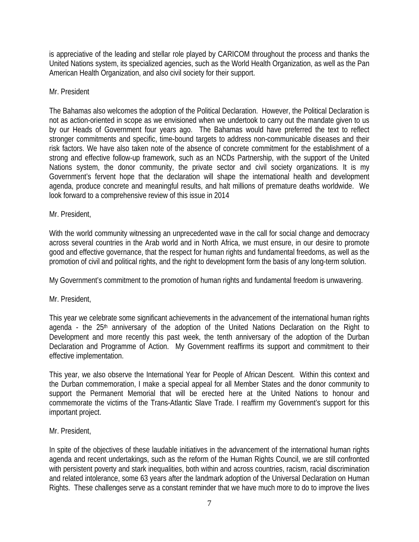is appreciative of the leading and stellar role played by CARICOM throughout the process and thanks the United Nations system, its specialized agencies, such as the World Health Organization, as well as the Pan American Health Organization, and also civil society for their support.

#### Mr. President

The Bahamas also welcomes the adoption of the Political Declaration. However, the Political Declaration is not as action-oriented in scope as we envisioned when we undertook to carry out the mandate given to us by our Heads of Government four years ago. The Bahamas would have preferred the text to reflect stronger commitments and specific, time-bound targets to address non-communicable diseases and their risk factors. We have also taken note of the absence of concrete commitment for the establishment of a strong and effective follow-up framework, such as an NCDs Partnership, with the support of the United Nations system, the donor community, the private sector and civil society organizations. It is my Government's fervent hope that the declaration will shape the international health and development agenda, produce concrete and meaningful results, and halt millions of premature deaths worldwide. We look forward to a comprehensive review of this issue in 2014

## Mr. President,

With the world community witnessing an unprecedented wave in the call for social change and democracy across several countries in the Arab world and in North Africa, we must ensure, in our desire to promote good and effective governance, that the respect for human rights and fundamental freedoms, as well as the promotion of civil and political rights, and the right to development form the basis of any long-term solution.

My Government's commitment to the promotion of human rights and fundamental freedom is unwavering.

Mr. President,

This year we celebrate some significant achievements in the advancement of the international human rights agenda - the 25<sup>th</sup> anniversary of the adoption of the United Nations Declaration on the Right to Development and more recently this past week, the tenth anniversary of the adoption of the Durban Declaration and Programme of Action. My Government reaffirms its support and commitment to their effective implementation.

This year, we also observe the International Year for People of African Descent. Within this context and the Durban commemoration, I make a special appeal for all Member States and the donor community to support the Permanent Memorial that will be erected here at the United Nations to honour and commemorate the victims of the Trans-Atlantic Slave Trade. I reaffirm my Government's support for this important project.

#### Mr. President,

In spite of the objectives of these laudable initiatives in the advancement of the international human rights agenda and recent undertakings, such as the reform of the Human Rights Council, we are still confronted with persistent poverty and stark inequalities, both within and across countries, racism, racial discrimination and related intolerance, some 63 years after the landmark adoption of the Universal Declaration on Human Rights. These challenges serve as a constant reminder that we have much more to do to improve the lives